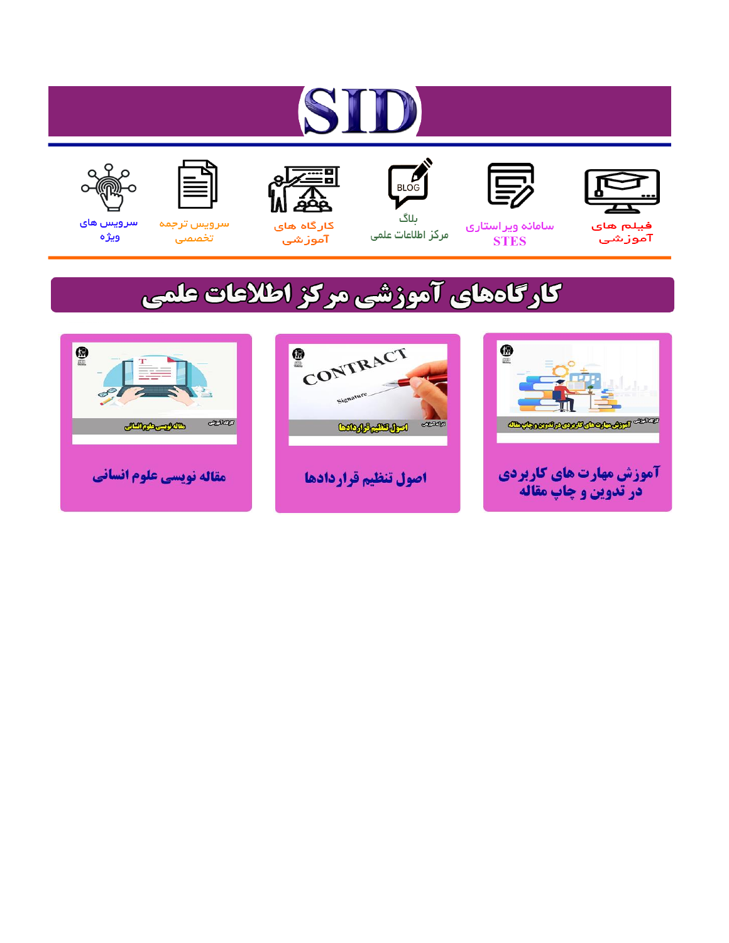# ST











مرکز اطلاعات علمی

 $\frac{1}{\sqrt{\frac{1}{100}}}$ ىلاگ



آموزشي

空

سرويس ترجمه تخصصى



سرویس های ويژه

# كارگاههای آموزشی مركز اطلاعات علمی





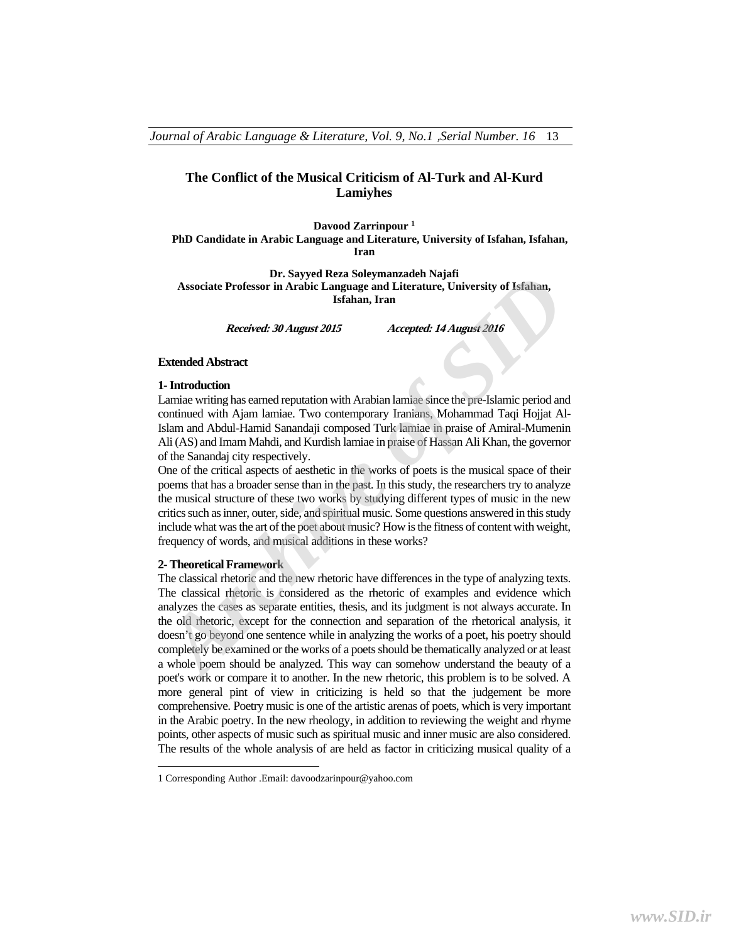*Journal of Arabic Language & Literature, Vol. 9, No.1* ,*Serial Number. 16* 13

## **The Conflict of the Musical Criticism of Al-Turk and Al-Kurd Lamiyhes**

**Davood Zarrinpour 1 PhD Candidate in Arabic Language and Literature, University of Isfahan, Isfahan, Iran** 

**Dr. Sayyed Reza Soleymanzadeh Najafi Associate Professor in Arabic Language and Literature, University of Isfahan, Isfahan, Iran** 

**Received: 30 August 2015 Accepted: 14 August 2016** 

### **Extended Abstract**

## **1- Introduction**

Lamiae writing has earned reputation with Arabian lamiae since the pre-Islamic period and continued with Ajam lamiae. Two contemporary Iranians, Mohammad Taqi Hojjat Al-Islam and Abdul-Hamid Sanandaji composed Turk lamiae in praise of Amiral-Mumenin Ali (AS) and Imam Mahdi, and Kurdish lamiae in praise of Hassan Ali Khan, the governor of the Sanandaj city respectively.

One of the critical aspects of aesthetic in the works of poets is the musical space of their poems that has a broader sense than in the past. In this study, the researchers try to analyze the musical structure of these two works by studying different types of music in the new critics such as inner, outer, side, and spiritual music. Some questions answered in this study include what was the art of the poet about music? How is the fitness of content with weight, frequency of words, and musical additions in these works?

### **2- Theoretical Framework**

The classical rhetoric and the new rhetoric have differences in the type of analyzing texts. The classical rhetoric is considered as the rhetoric of examples and evidence which analyzes the cases as separate entities, thesis, and its judgment is not always accurate. In the old rhetoric, except for the connection and separation of the rhetorical analysis, it doesn't go beyond one sentence while in analyzing the works of a poet, his poetry should completely be examined or the works of a poets should be thematically analyzed or at least a whole poem should be analyzed. This way can somehow understand the beauty of a poet's work or compare it to another. In the new rhetoric, this problem is to be solved. A more general pint of view in criticizing is held so that the judgement be more comprehensive. Poetry music is one of the artistic arenas of poets, which is very important in the Arabic poetry. In the new rheology, in addition to reviewing the weight and rhyme points, other aspects of music such as spiritual music and inner music are also considered. The results of the whole analysis of are held as factor in criticizing musical quality of a *Associate Professor in Arabic Language and Literature, University of Isfahan,*<br>*Island, Island 19015*<br>*Accepted: 14 August 2016*<br>**Extended Abstract**<br>*Archive of Sidahan, Iran<br>Archive of Sidahan, Iran<br><i>Archive of Sidahan* 

<sup>1</sup> Corresponding Author .Email: davoodzarinpour@yahoo.com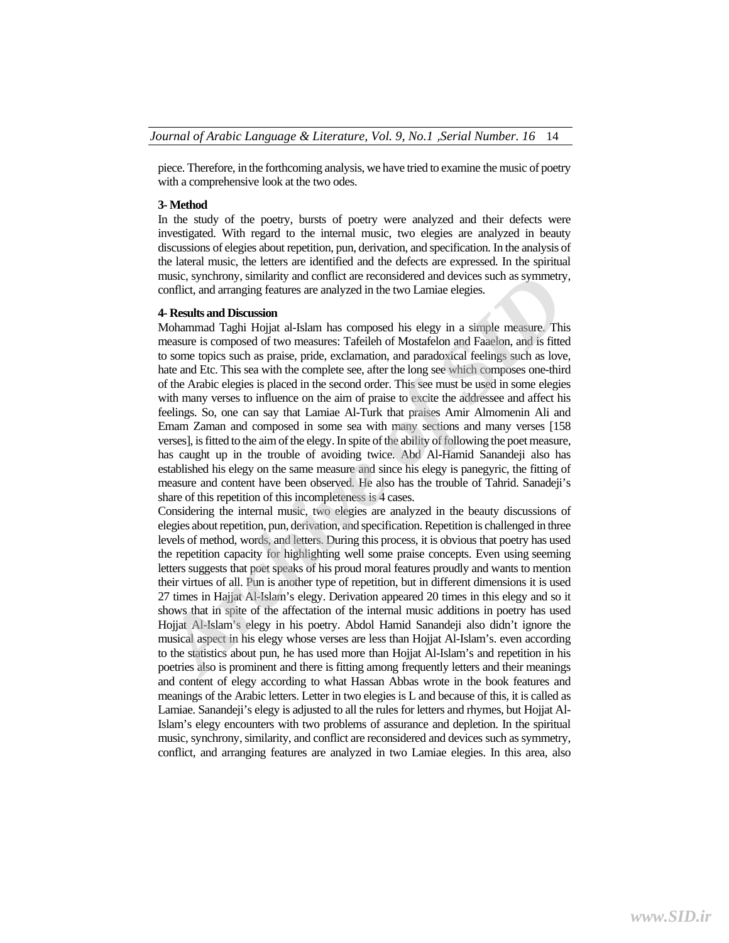piece. Therefore, in the forthcoming analysis, we have tried to examine the music of poetry with a comprehensive look at the two odes.

#### **3- Method**

In the study of the poetry, bursts of poetry were analyzed and their defects were investigated. With regard to the internal music, two elegies are analyzed in beauty discussions of elegies about repetition, pun, derivation, and specification. In the analysis of the lateral music, the letters are identified and the defects are expressed. In the spiritual music, synchrony, similarity and conflict are reconsidered and devices such as symmetry, conflict, and arranging features are analyzed in the two Lamiae elegies.

### **4- Results and Discussion**

Mohammad Taghi Hojjat al-Islam has composed his elegy in a simple measure. This measure is composed of two measures: Tafeileh of Mostafelon and Faaelon, and is fitted to some topics such as praise, pride, exclamation, and paradoxical feelings such as love, hate and Etc. This sea with the complete see, after the long see which composes one-third of the Arabic elegies is placed in the second order. This see must be used in some elegies with many verses to influence on the aim of praise to excite the addressee and affect his feelings. So, one can say that Lamiae Al-Turk that praises Amir Almomenin Ali and Emam Zaman and composed in some sea with many sections and many verses [158 verses], is fitted to the aim of the elegy. In spite of the ability of following the poet measure, has caught up in the trouble of avoiding twice. Abd Al-Hamid Sanandeji also has established his elegy on the same measure and since his elegy is panegyric, the fitting of measure and content have been observed. He also has the trouble of Tahrid. Sanadeji's share of this repetition of this incompleteness is 4 cases. music, synchrony, similarity and condited are tronsidered and devices such as symmetry, enchived and archive reaction of the two Lamine elegies.<br> **4. Results and Discussion**<br> **Archives and Discussion**<br> **Archives and Discus** 

Considering the internal music, two elegies are analyzed in the beauty discussions of elegies about repetition, pun, derivation, and specification. Repetition is challenged in three levels of method, words, and letters. During this process, it is obvious that poetry has used the repetition capacity for highlighting well some praise concepts. Even using seeming letters suggests that poet speaks of his proud moral features proudly and wants to mention their virtues of all. Pun is another type of repetition, but in different dimensions it is used 27 times in Hajjat Al-Islam's elegy. Derivation appeared 20 times in this elegy and so it shows that in spite of the affectation of the internal music additions in poetry has used Hojjat Al-Islam's elegy in his poetry. Abdol Hamid Sanandeji also didn't ignore the musical aspect in his elegy whose verses are less than Hojjat Al-Islam's. even according to the statistics about pun, he has used more than Hojjat Al-Islam's and repetition in his poetries also is prominent and there is fitting among frequently letters and their meanings and content of elegy according to what Hassan Abbas wrote in the book features and meanings of the Arabic letters. Letter in two elegies is L and because of this, it is called as Lamiae. Sanandeji's elegy is adjusted to all the rules for letters and rhymes, but Hojjat Al-Islam's elegy encounters with two problems of assurance and depletion. In the spiritual music, synchrony, similarity, and conflict are reconsidered and devices such as symmetry, conflict, and arranging features are analyzed in two Lamiae elegies. In this area, also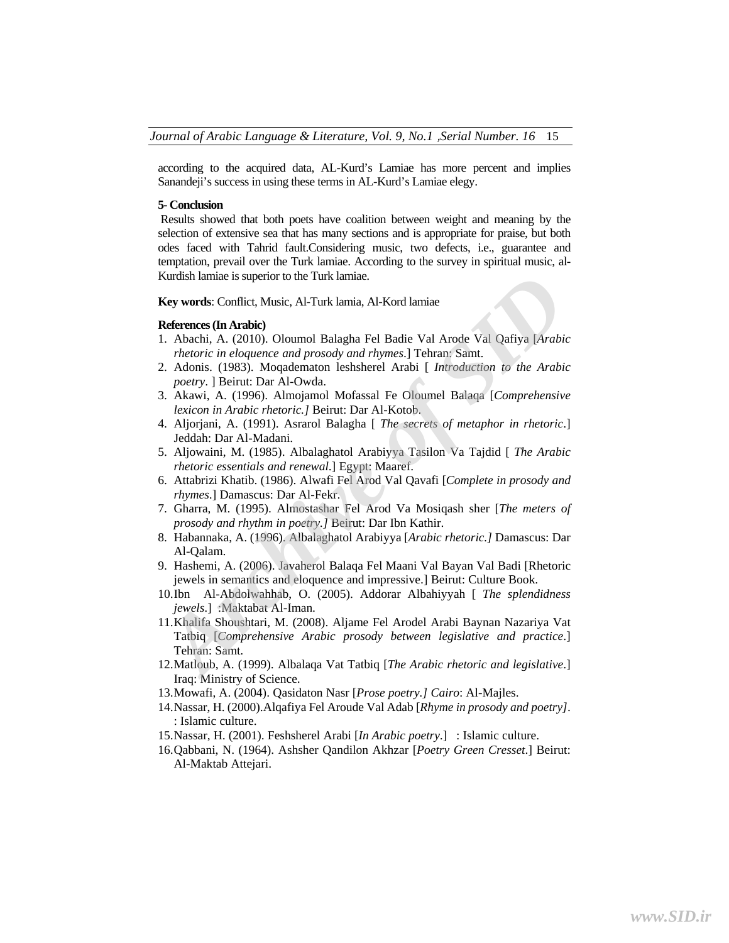according to the acquired data, AL-Kurd's Lamiae has more percent and implies Sanandeji's success in using these terms in AL-Kurd's Lamiae elegy.

#### **5- Conclusion**

 Results showed that both poets have coalition between weight and meaning by the selection of extensive sea that has many sections and is appropriate for praise, but both odes faced with Tahrid fault.Considering music, two defects, i.e., guarantee and temptation, prevail over the Turk lamiae. According to the survey in spiritual music, al-Kurdish lamiae is superior to the Turk lamiae.

**Key words**: Conflict, Music, Al-Turk lamia, Al-Kord lamiae

#### **References (In Arabic)**

- 1. Abachi, A. (2010). Oloumol Balagha Fel Badie Val Arode Val Qafiya [*Arabic rhetoric in eloquence and prosody and rhymes*.] Tehran: Samt.
- 2. Adonis. (1983). Moqadematon leshsherel Arabi [ *Introduction to the Arabic poetry*. ] Beirut: Dar Al-Owda.
- 3. Akawi, A. (1996). Almojamol Mofassal Fe Oloumel Balaqa [*Comprehensive lexicon in Arabic rhetoric.]* Beirut: Dar Al-Kotob.
- 4. Aljorjani, A. (1991). Asrarol Balagha [ *The secrets of metaphor in rhetoric*.] Jeddah: Dar Al-Madani.
- 5. Aljowaini, M. (1985). Albalaghatol Arabiyya Tasilon Va Tajdid [ *The Arabic rhetoric essentials and renewal*.] Egypt: Maaref.
- 6. Attabrizi Khatib. (1986). Alwafi Fel Arod Val Qavafi [*Complete in prosody and rhymes*.] Damascus: Dar Al-Fekr.
- 7. Gharra, M. (1995). Almostashar Fel Arod Va Mosiqash sher [*The meters of prosody and rhythm in poetry.]* Beirut: Dar Ibn Kathir.
- 8. Habannaka, A. (1996). Albalaghatol Arabiyya [*Arabic rhetoric.]* Damascus: Dar Al-Qalam.
- 9. Hashemi, A. (2006). Javaherol Balaqa Fel Maani Val Bayan Val Badi [Rhetoric jewels in semantics and eloquence and impressive.] Beirut: Culture Book.
- 10.Ibn Al-Abdolwahhab, O. (2005). Addorar Albahiyyah [ *The splendidness jewels*.] :Maktabat Al-Iman.
- 11.Khalifa Shoushtari, M. (2008). Aljame Fel Arodel Arabi Baynan Nazariya Vat Tatbiq [*Comprehensive Arabic prosody between legislative and practice*.] Tehran: Samt. **Kurdish lamiae is superior to the Turk lamiae.**<br> **Acey words:** Conflict, Music, Al-Turk lamia, Al-Kord lamiae<br> **References (In Arabic)**<br>
1. Abachi, A. (2010). Oloumol Balagha Fel Badie Val Arode Val Qafiya [*Arabic thet*
- 12.Matloub, A. (1999). Albalaqa Vat Tatbiq [*The Arabic rhetoric and legislative*.] Iraq: Ministry of Science.
- 13.Mowafi, A. (2004). Qasidaton Nasr [*Prose poetry.] Cairo*: Al-Majles.
- 14.Nassar, H. (2000).Alqafiya Fel Aroude Val Adab [*Rhyme in prosody and poetry]*. : Islamic culture.
- 15.Nassar, H. (2001). Feshsherel Arabi [*In Arabic poetry*.] : Islamic culture.
- 16.Qabbani, N. (1964). Ashsher Qandilon Akhzar [*Poetry Green Cresset*.] Beirut: Al-Maktab Attejari.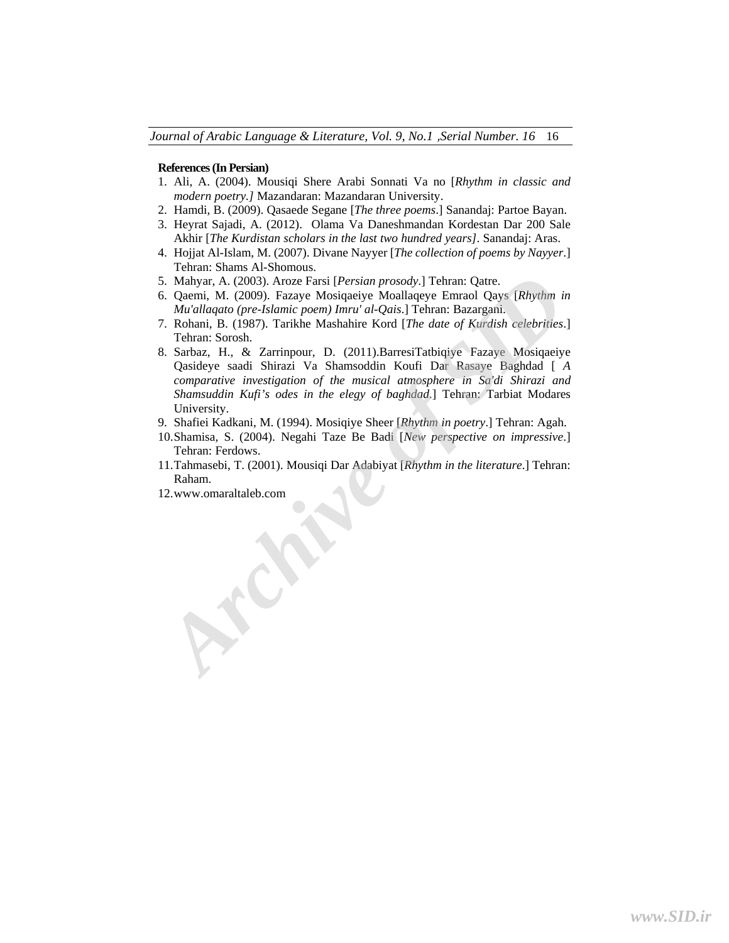#### **References (In Persian)**

- 1. Ali, A. (2004). Mousiqi Shere Arabi Sonnati Va no [*Rhythm in classic and modern poetry.]* Mazandaran: Mazandaran University.
- 2. Hamdi, B. (2009). Qasaede Segane [*The three poems*.] Sanandaj: Partoe Bayan.
- 3. Heyrat Sajadi, A. (2012). Olama Va Daneshmandan Kordestan Dar 200 Sale Akhir [*The Kurdistan scholars in the last two hundred years]*. Sanandaj: Aras.
- 4. Hojjat Al-Islam, M. (2007). Divane Nayyer [*The collection of poems by Nayyer*.] Tehran: Shams Al-Shomous.
- 5. Mahyar, A. (2003). Aroze Farsi [*Persian prosody*.] Tehran: Qatre.
- 6. Qaemi, M. (2009). Fazaye Mosiqaeiye Moallaqeye Emraol Qays [*Rhythm in Mu'allaqato (pre-Islamic poem) Imru' al-Qais*.] Tehran: Bazargani.
- 7. Rohani, B. (1987). Tarikhe Mashahire Kord [*The date of Kurdish celebrities*.] Tehran: Sorosh.
- 8. Sarbaz, H., & Zarrinpour, D. (2011).BarresiTatbiqiye Fazaye Mosiqaeiye Qasideye saadi Shirazi Va Shamsoddin Koufi Dar Rasaye Baghdad [ *A comparative investigation of the musical atmosphere in Sa'di Shirazi and Shamsuddin Kufi's odes in the elegy of baghdad*.] Tehran: Tarbiat Modares University. 5. Mahyar, A. (2003). Aroze Farsi [*Persian prosody*.] Tehran: Qatre.<br>
6. Qaemi, M. (2009). Fazzaye Mosiqaeiye Moallaqeye Emraol Qays [*Rhythm in Mu allaqato (pre-Islamic poem) Imru' al-Qais.*] Tehran: Bazargani.<br>
7. Roh
- 9. Shafiei Kadkani, M. (1994). Mosiqiye Sheer [*Rhythm in poetry*.] Tehran: Agah.
- 10.Shamisa, S. (2004). Negahi Taze Be Badi [*New perspective on impressive*.] Tehran: Ferdows.
- 11.Tahmasebi, T. (2001). Mousiqi Dar Adabiyat [*Rhythm in the literature*.] Tehran: Raham.
-